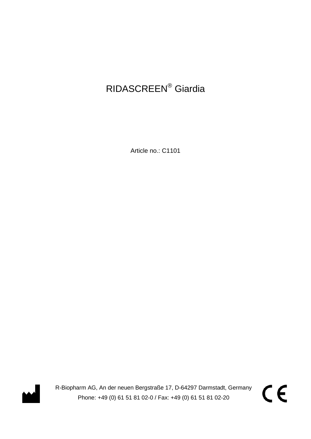# RIDASCREEN® Giardia

Article no.: C1101



R-Biopharm AG, An der neuen Bergstraße 17, D-64297 Darmstadt, Germany Phone: +49 (0) 61 51 81 02-0 / Fax: +49 (0) 61 51 81 02-20

CE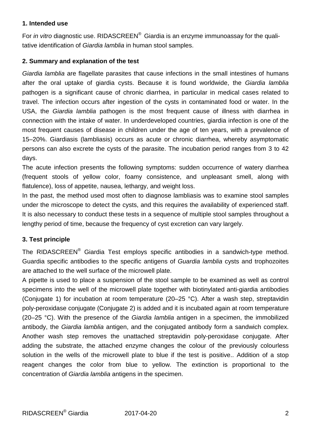#### **1. Intended use**

For *in vitro* diagnostic use. RIDASCREEN® Giardia is an enzyme immunoassay for the qualitative identification of *Giardia lamblia* in human stool samples.

## **2. Summary and explanation of the test**

*Giardia lamblia* are flagellate parasites that cause infections in the small intestines of humans after the oral uptake of giardia cysts. Because it is found worldwide, the *Giardia lamblia* pathogen is a significant cause of chronic diarrhea, in particular in medical cases related to travel. The infection occurs after ingestion of the cysts in contaminated food or water. In the USA, the *Giardia lamblia* pathogen is the most frequent cause of illness with diarrhea in connection with the intake of water. In underdeveloped countries, giardia infection is one of the most frequent causes of disease in children under the age of ten years, with a prevalence of 15–20%. Giardiasis (lambliasis) occurs as acute or chronic diarrhea, whereby asymptomatic persons can also excrete the cysts of the parasite. The incubation period ranges from 3 to 42 days.

The acute infection presents the following symptoms: sudden occurrence of watery diarrhea (frequent stools of yellow color, foamy consistence, and unpleasant smell, along with flatulence), loss of appetite, nausea, lethargy, and weight loss.

In the past, the method used most often to diagnose lambliasis was to examine stool samples under the microscope to detect the cysts, and this requires the availability of experienced staff. It is also necessary to conduct these tests in a sequence of multiple stool samples throughout a lengthy period of time, because the frequency of cyst excretion can vary largely.

## **3. Test principle**

The RIDASCREEN® Giardia Test employs specific antibodies in a sandwich-type method. Guardia specific antibodies to the specific antigens of *Guardia lamblia* cysts and trophozoites are attached to the well surface of the microwell plate.

A pipette is used to place a suspension of the stool sample to be examined as well as control specimens into the well of the microwell plate together with biotinylated anti-giardia antibodies (Conjugate 1) for incubation at room temperature (20–25 °C). After a wash step, streptavidin poly-peroxidase conjugate (Conjugate 2) is added and it is incubated again at room temperature (20–25 °C). With the presence of the *Giardia lamblia* antigen in a specimen, the immobilized antibody, the *Giardia lamblia* antigen, and the conjugated antibody form a sandwich complex. Another wash step removes the unattached streptavidin poly-peroxidase conjugate. After adding the substrate, the attached enzyme changes the colour of the previously colourless solution in the wells of the microwell plate to blue if the test is positive.. Addition of a stop reagent changes the color from blue to yellow. The extinction is proportional to the concentration of *Giardia lamblia* antigens in the specimen.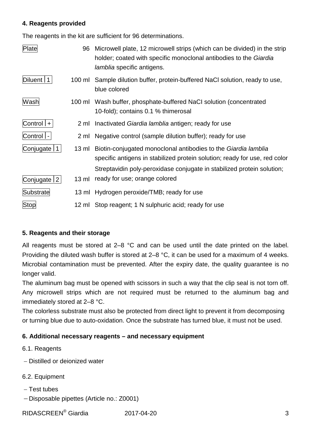#### **4. Reagents provided**

The reagents in the kit are sufficient for 96 determinations.

| Plate           | 96              | Microwell plate, 12 microwell strips (which can be divided) in the strip<br>holder; coated with specific monoclonal antibodies to the Giardia<br><i>lamblia</i> specific antigens. |
|-----------------|-----------------|------------------------------------------------------------------------------------------------------------------------------------------------------------------------------------|
| Diluent   1     | 100 ml          | Sample dilution buffer, protein-buffered NaCl solution, ready to use,<br>blue colored                                                                                              |
| Wash            |                 | 100 ml Wash buffer, phosphate-buffered NaCI solution (concentrated<br>10-fold); contains 0.1 % thimerosal                                                                          |
| $Control   +  $ |                 | 2 ml Inactivated Giardia lamblia antigen; ready for use                                                                                                                            |
| Control  -      | 2 ml            | Negative control (sample dilution buffer); ready for use                                                                                                                           |
| Conjugate   1   | 13 ml           | Biotin-conjugated monoclonal antibodies to the Giardia lamblia<br>specific antigens in stabilized protein solution; ready for use, red color                                       |
|                 |                 | Streptavidin poly-peroxidase conjugate in stabilized protein solution;                                                                                                             |
| Conjugate   2   | $13 \text{ ml}$ | ready for use; orange colored                                                                                                                                                      |
| Substrate       |                 | 13 ml Hydrogen peroxide/TMB; ready for use                                                                                                                                         |
| <b>Stop</b>     |                 | 12 ml Stop reagent; 1 N sulphuric acid; ready for use                                                                                                                              |

## **5. Reagents and their storage**

All reagents must be stored at 2–8 °C and can be used until the date printed on the label. Providing the diluted wash buffer is stored at 2–8 °C, it can be used for a maximum of 4 weeks. Microbial contamination must be prevented. After the expiry date, the quality guarantee is no longer valid.

The aluminum bag must be opened with scissors in such a way that the clip seal is not torn off. Any microwell strips which are not required must be returned to the aluminum bag and immediately stored at 2–8 °C.

The colorless substrate must also be protected from direct light to prevent it from decomposing or turning blue due to auto-oxidation. Once the substrate has turned blue, it must not be used.

## **6. Additional necessary reagents – and necessary equipment**

- 6.1. Reagents
- − Distilled or deionized water
- 6.2. Equipment
- − Test tubes
- − Disposable pipettes (Article no.: Z0001)

RIDASCREEN<sup>®</sup> Giardia 2017-04-20 3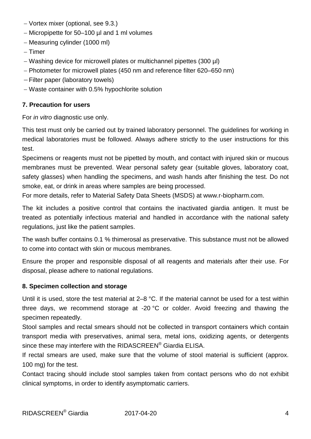- − Vortex mixer (optional, see 9.3.)
- − Micropipette for 50–100 µl and 1 ml volumes
- − Measuring cylinder (1000 ml)
- − Timer
- − Washing device for microwell plates or multichannel pipettes (300 µl)
- − Photometer for microwell plates (450 nm and reference filter 620–650 nm)
- − Filter paper (laboratory towels)
- − Waste container with 0.5% hypochlorite solution

#### **7. Precaution for users**

For *in vitro* diagnostic use only.

This test must only be carried out by trained laboratory personnel. The guidelines for working in medical laboratories must be followed. Always adhere strictly to the user instructions for this test.

Specimens or reagents must not be pipetted by mouth, and contact with injured skin or mucous membranes must be prevented. Wear personal safety gear (suitable gloves, laboratory coat, safety glasses) when handling the specimens, and wash hands after finishing the test. Do not smoke, eat, or drink in areas where samples are being processed.

For more details, refer to Material Safety Data Sheets (MSDS) at www.r-biopharm.com.

The kit includes a positive control that contains the inactivated giardia antigen. It must be treated as potentially infectious material and handled in accordance with the national safety regulations, just like the patient samples.

The wash buffer contains 0.1 % thimerosal as preservative. This substance must not be allowed to come into contact with skin or mucous membranes.

Ensure the proper and responsible disposal of all reagents and materials after their use. For disposal, please adhere to national regulations.

#### **8. Specimen collection and storage**

Until it is used, store the test material at 2–8 °C. If the material cannot be used for a test within three days, we recommend storage at -20 °C or colder. Avoid freezing and thawing the specimen repeatedly.

Stool samples and rectal smears should not be collected in transport containers which contain transport media with preservatives, animal sera, metal ions, oxidizing agents, or detergents since these may interfere with the RIDASCREEN® Giardia ELISA.

If rectal smears are used, make sure that the volume of stool material is sufficient (approx. 100 mg) for the test.

Contact tracing should include stool samples taken from contact persons who do not exhibit clinical symptoms, in order to identify asymptomatic carriers.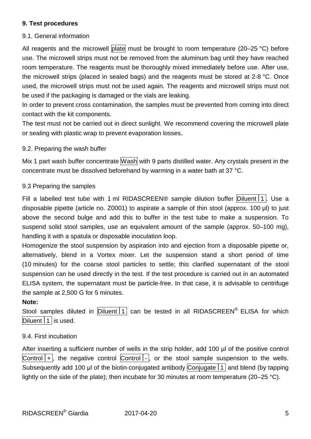#### **9. Test procedures**

#### 9.1. General information

All reagents and the microwell plate must be brought to room temperature (20–25 °C) before use. The microwell strips must not be removed from the aluminum bag until they have reached room temperature. The reagents must be thoroughly mixed immediately before use. After use, the microwell strips (placed in sealed bags) and the reagents must be stored at 2-8 °C. Once used, the microwell strips must not be used again. The reagents and microwell strips must not be used if the packaging is damaged or the vials are leaking.

In order to prevent cross contamination, the samples must be prevented from coming into direct contact with the kit components.

The test must not be carried out in direct sunlight. We recommend covering the microwell plate or sealing with plastic wrap to prevent evaporation losses.

#### 9.2. Preparing the wash buffer

Mix 1 part wash buffer concentrate Wash with 9 parts distilled water. Any crystals present in the concentrate must be dissolved beforehand by warming in a water bath at 37 °C.

#### 9.3 Preparing the samples

Fill a labelled test tube with 1 ml RIDASCREEN® sample dilution buffer Diluent 1. Use a disposable pipette (article no. Z0001) to aspirate a sample of thin stool (approx. 100 µl) to just above the second bulge and add this to buffer in the test tube to make a suspension. To suspend solid stool samples, use an equivalent amount of the sample (approx. 50–100 mg), handling it with a spatula or disposable inoculation loop.

Homogenize the stool suspension by aspiration into and ejection from a disposable pipette or, alternatively, blend in a Vortex mixer. Let the suspension stand a short period of time (10 minutes) for the coarse stool particles to settle; this clarified supernatant of the stool suspension can be used directly in the test. If the test procedure is carried out in an automated ELISA system, the supernatant must be particle-free. In that case, it is advisable to centrifuge the sample at 2,500 G for 5 minutes.

#### **Note:**

Stool samples diluted in  $\boxed{\text{Diluent} \mid 1}$  can be tested in all RIDASCREEN<sup>®</sup> ELISA for which Diluent  $1$  is used.

#### 9.4. First incubation

After inserting a sufficient number of wells in the strip holder, add 100 µl of the positive control  $\overline{\text{Control}+}$ , the negative control  $\overline{\text{Control}+}$ , or the stool sample suspension to the wells. Subsequently add 100 μl of the biotin-conjugated antibody Conjugate  $1$  and blend (by tapping lightly on the side of the plate); then incubate for 30 minutes at room temperature (20–25 °C).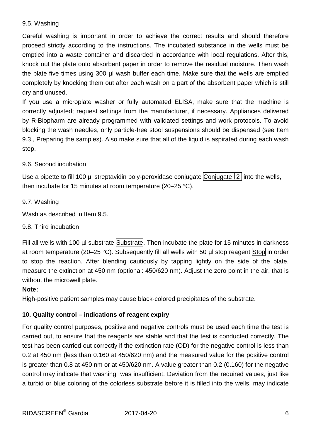#### 9.5. Washing

Careful washing is important in order to achieve the correct results and should therefore proceed strictly according to the instructions. The incubated substance in the wells must be emptied into a waste container and discarded in accordance with local regulations. After this, knock out the plate onto absorbent paper in order to remove the residual moisture. Then wash the plate five times using 300 µl wash buffer each time. Make sure that the wells are emptied completely by knocking them out after each wash on a part of the absorbent paper which is still dry and unused.

If you use a microplate washer or fully automated ELISA, make sure that the machine is correctly adjusted; request settings from the manufacturer, if necessary. Appliances delivered by R-Biopharm are already programmed with validated settings and work protocols. To avoid blocking the wash needles, only particle-free stool suspensions should be dispensed (see Item 9.3., Preparing the samples). Also make sure that all of the liquid is aspirated during each wash step.

#### 9.6. Second incubation

Use a pipette to fill 100 µl streptavidin poly-peroxidase conjugate Conjugate  $2$  into the wells, then incubate for 15 minutes at room temperature (20–25 °C).

#### 9.7. Washing

Wash as described in Item 9.5.

#### 9.8. Third incubation

Fill all wells with 100 µl substrate Substrate. Then incubate the plate for 15 minutes in darkness at room temperature (20–25 °C). Subsequently fill all wells with 50  $\mu$  stop reagent Stop in order to stop the reaction. After blending cautiously by tapping lightly on the side of the plate, measure the extinction at 450 nm (optional: 450/620 nm). Adjust the zero point in the air, that is without the microwell plate.

#### **Note:**

High-positive patient samples may cause black-colored precipitates of the substrate.

#### **10. Quality control – indications of reagent expiry**

For quality control purposes, positive and negative controls must be used each time the test is carried out, to ensure that the reagents are stable and that the test is conducted correctly. The test has been carried out correctly if the extinction rate (OD) for the negative control is less than 0.2 at 450 nm (less than 0.160 at 450/620 nm) and the measured value for the positive control is greater than 0.8 at 450 nm or at 450/620 nm. A value greater than 0.2 (0.160) for the negative control may indicate that washing was insufficient. Deviation from the required values, just like a turbid or blue coloring of the colorless substrate before it is filled into the wells, may indicate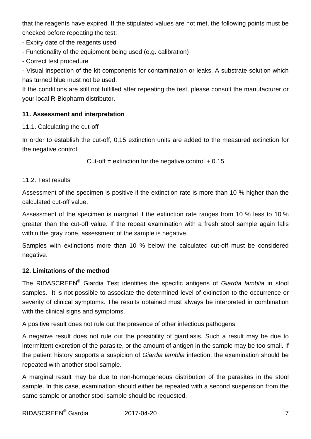that the reagents have expired. If the stipulated values are not met, the following points must be checked before repeating the test:

- Expiry date of the reagents used

- Functionality of the equipment being used (e.g. calibration)

- Correct test procedure

- Visual inspection of the kit components for contamination or leaks. A substrate solution which has turned blue must not be used.

If the conditions are still not fulfilled after repeating the test, please consult the manufacturer or your local R-Biopharm distributor.

## **11. Assessment and interpretation**

11.1. Calculating the cut-off

In order to establish the cut-off, 0.15 extinction units are added to the measured extinction for the negative control.

Cut-off = extinction for the negative control  $+ 0.15$ 

## 11.2. Test results

Assessment of the specimen is positive if the extinction rate is more than 10 % higher than the calculated cut-off value.

Assessment of the specimen is marginal if the extinction rate ranges from 10 % less to 10 % greater than the cut-off value. If the repeat examination with a fresh stool sample again falls within the gray zone, assessment of the sample is negative.

Samples with extinctions more than 10 % below the calculated cut-off must be considered negative.

## **12. Limitations of the method**

The RIDASCREEN® Giardia Test identifies the specific antigens of *Giardia lamblia* in stool samples. It is not possible to associate the determined level of extinction to the occurrence or severity of clinical symptoms. The results obtained must always be interpreted in combination with the clinical signs and symptoms.

A positive result does not rule out the presence of other infectious pathogens.

A negative result does not rule out the possibility of giardiasis. Such a result may be due to intermittent excretion of the parasite, or the amount of antigen in the sample may be too small. If the patient history supports a suspicion of *Giardia lamblia* infection, the examination should be repeated with another stool sample.

A marginal result may be due to non-homogeneous distribution of the parasites in the stool sample. In this case, examination should either be repeated with a second suspension from the same sample or another stool sample should be requested.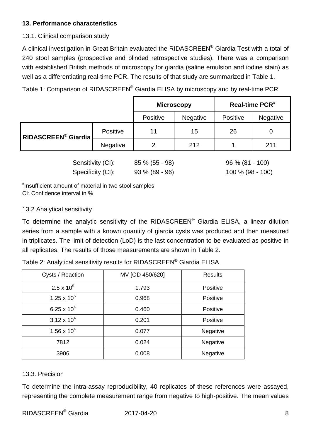## **13. Performance characteristics**

## 13.1. Clinical comparison study

A clinical investigation in Great Britain evaluated the RIDASCREEN® Giardia Test with a total of 240 stool samples (prospective and blinded retrospective studies). There was a comparison with established British methods of microscopy for giardia (saline emulsion and iodine stain) as well as a differentiating real-time PCR. The results of that study are summarized in Table 1.

Table 1: Comparison of RIDASCREEN® Giardia ELISA by microscopy and by real-time PCR

|                     |                 | <b>Microscopy</b> |                 | Real-time PCR <sup>#</sup> |                 |
|---------------------|-----------------|-------------------|-----------------|----------------------------|-----------------|
|                     |                 | Positive          | <b>Negative</b> | <b>Positive</b>            | <b>Negative</b> |
| RIDASCREEN® Giardia | <b>Positive</b> | 11                | 15              | 26                         |                 |
|                     | <b>Negative</b> | າ                 | 212             |                            | 211             |
|                     |                 |                   |                 |                            |                 |

Sensitivity (CI): 85 % (55 - 98) 96 % (81 - 100) Specificity (CI): 93 % (89 - 96) 100 % (98 - 100)

# Insufficient amount of material in two stool samples CI: Confidence interval in %

## 13.2 Analytical sensitivity

To determine the analytic sensitivity of the RIDASCREEN® Giardia ELISA, a linear dilution series from a sample with a known quantity of giardia cysts was produced and then measured in triplicates. The limit of detection (LoD) is the last concentration to be evaluated as positive in all replicates. The results of those measurements are shown in Table 2.

| Cysts / Reaction     | MV [OD 450/620] | <b>Results</b> |
|----------------------|-----------------|----------------|
| $2.5 \times 10^{5}$  | 1.793           | Positive       |
| $1.25 \times 10^5$   | 0.968           | Positive       |
| 6.25 x $10^4$        | 0.460           | Positive       |
| $3.12 \times 10^{4}$ | 0.201           | Positive       |
| $1.56 \times 10^{4}$ | 0.077           | Negative       |
| 7812                 | 0.024           | Negative       |
| 3906                 | 0.008           | Negative       |

## 13.3. Precision

To determine the intra-assay reproducibility, 40 replicates of these references were assayed, representing the complete measurement range from negative to high-positive. The mean values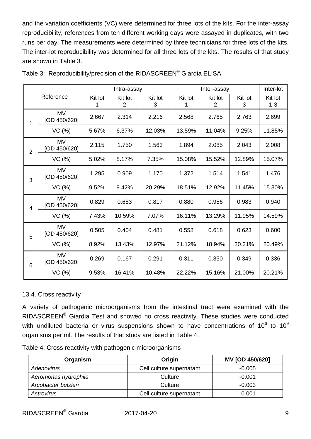and the variation coefficients (VC) were determined for three lots of the kits. For the inter-assay reproducibility, references from ten different working days were assayed in duplicates, with two runs per day. The measurements were determined by three technicians for three lots of the kits. The inter-lot reproducibility was determined for all three lots of the kits. The results of that study are shown in Table 3.

| Reference      |                           | Intra-assay  |              |              | Inter-assay  |                           |              | Inter-lot          |
|----------------|---------------------------|--------------|--------------|--------------|--------------|---------------------------|--------------|--------------------|
|                |                           | Kit lot<br>1 | Kit lot<br>2 | Kit lot<br>3 | Kit lot<br>1 | Kit lot<br>$\overline{2}$ | Kit lot<br>3 | Kit lot<br>$1 - 3$ |
| 1              | <b>MV</b><br>[OD 450/620] | 2.667        | 2.314        | 2.216        | 2.568        | 2.765                     | 2.763        | 2.699              |
|                | VC(%)                     | 5.67%        | 6.37%        | 12.03%       | 13.59%       | 11.04%                    | 9.25%        | 11.85%             |
| $\overline{2}$ | <b>MV</b><br>[OD 450/620] | 2.115        | 1.750        | 1.563        | 1.894        | 2.085                     | 2.043        | 2.008              |
|                | VC (%)                    | 5.02%        | 8.17%        | 7.35%        | 15.08%       | 15.52%                    | 12.89%       | 15.07%             |
| 3              | <b>MV</b><br>[OD 450/620] | 1.295        | 0.909        | 1.170        | 1.372        | 1.514                     | 1.541        | 1.476              |
|                | VC(%)                     | 9.52%        | 9.42%        | 20.29%       | 18.51%       | 12.92%                    | 11.45%       | 15.30%             |
| $\overline{4}$ | <b>MV</b><br>[OD 450/620] | 0.829        | 0.683        | 0.817        | 0.880        | 0.956                     | 0.983        | 0.940              |
|                | VC(%)                     | 7.43%        | 10.59%       | 7.07%        | 16.11%       | 13.29%                    | 11.95%       | 14.59%             |
| 5              | <b>MV</b><br>[OD 450/620] | 0.505        | 0.404        | 0.481        | 0.558        | 0.618                     | 0.623        | 0.600              |
|                | VC (%)                    | 8.92%        | 13.43%       | 12.97%       | 21.12%       | 18.94%                    | 20.21%       | 20.49%             |
| 6              | <b>MV</b><br>[OD 450/620] | 0.269        | 0.167        | 0.291        | 0.311        | 0.350                     | 0.349        | 0.336              |
|                | VC(%)                     | 9.53%        | 16.41%       | 10.48%       | 22.22%       | 15.16%                    | 21.00%       | 20.21%             |

#### 13.4. Cross reactivity

A variety of pathogenic microorganisms from the intestinal tract were examined with the RIDASCREEN® Giardia Test and showed no cross reactivity. These studies were conducted with undiluted bacteria or virus suspensions shown to have concentrations of  $10^6$  to  $10^9$ organisms per ml. The results of that study are listed in Table 4.

|  | Table 4: Cross reactivity with pathogenic microorganisms |
|--|----------------------------------------------------------|
|  |                                                          |

| Organism             | Origin                   | <b>MV [OD 450/620]</b> |
|----------------------|--------------------------|------------------------|
| <b>Adenovirus</b>    | Cell culture supernatant | $-0.005$               |
| Aeromonas hydrophila | Culture                  | $-0.001$               |
| Arcobacter butzleri  | Culture                  | $-0.003$               |
| Astrovirus           | Cell culture supernatant | $-0.001$               |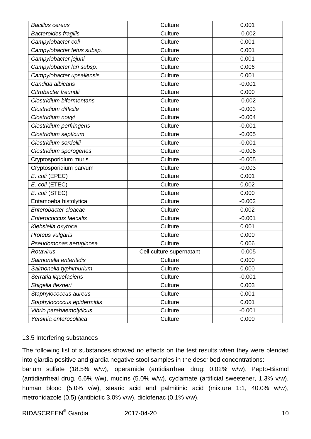| <b>Bacillus cereus</b>          | Culture                  | 0.001    |
|---------------------------------|--------------------------|----------|
| <b>Bacteroides fragilis</b>     | Culture                  | $-0.002$ |
| Campylobacter coli              | Culture                  | 0.001    |
| Campylobacter fetus subsp.      | Culture                  | 0.001    |
| Campylobacter jejuni            | Culture                  | 0.001    |
| Campylobacter lari subsp.       | Culture                  | 0.006    |
| Campylobacter upsaliensis       | Culture                  | 0.001    |
| Candida albicans                | Culture                  | $-0.001$ |
| Citrobacter freundii            | Culture                  | 0.000    |
| <b>Clostridium bifermentans</b> | Culture                  | $-0.002$ |
| Clostridium difficile           | Culture                  | $-0.003$ |
| Clostridium novyi               | Culture                  | $-0.004$ |
| Clostridium perfringens         | Culture                  | $-0.001$ |
| Clostridium septicum            | Culture                  | $-0.005$ |
| Clostridium sordellii           | Culture                  | $-0.001$ |
| Clostridium sporogenes          | Culture                  | $-0.006$ |
| Cryptosporidium muris           | Culture                  | $-0.005$ |
| Cryptosporidium parvum          | Culture                  | $-0.003$ |
| E. coli (EPEC)                  | Culture                  | 0.001    |
| E. coli (ETEC)                  | Culture                  | 0.002    |
| E. coli (STEC)                  | Culture                  | 0.000    |
| Entamoeba histolytica           | Culture                  | $-0.002$ |
| Enterobacter cloacae            | Culture                  | 0.002    |
| Enterococcus faecalis           | Culture                  | $-0.001$ |
| Klebsiella oxytoca              | Culture                  | 0.001    |
| Proteus vulgaris                | Culture                  | 0.000    |
| Pseudomonas aeruginosa          | Culture                  | 0.006    |
| Rotavirus                       | Cell culture supernatant | $-0.005$ |
| Salmonella enteritidis          | Culture                  | 0.000    |
| Salmonella typhimurium          | Culture                  | 0.000    |
| Serratia liquefaciens           | Culture                  | $-0.001$ |
| Shigella flexneri               | Culture                  | 0.003    |
| Staphylococcus aureus           | Culture                  | 0.001    |
| Staphylococcus epidermidis      | Culture                  | 0.001    |
| Vibrio parahaemolyticus         | Culture                  | $-0.001$ |
| Yersinia enterocolitica         | Culture                  | 0.000    |

#### 13.5 Interfering substances

The following list of substances showed no effects on the test results when they were blended into giardia positive and giardia negative stool samples in the described concentrations:

barium sulfate (18.5% w/w), loperamide (antidiarrheal drug; 0.02% w/w), Pepto-Bismol (antidiarrheal drug, 6.6% v/w), mucins (5.0% w/w), cyclamate (artificial sweetener, 1.3% v/w), human blood (5.0% v/w), stearic acid and palmitinic acid (mixture 1:1, 40.0% w/w), metronidazole (0.5) (antibiotic 3.0% v/w), diclofenac (0.1% v/w).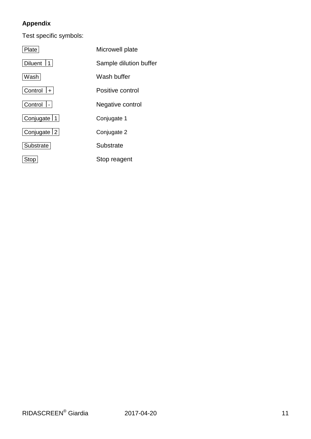## **Appendix**

Test specific symbols:

| Plate            | Microwell plate        |
|------------------|------------------------|
| <b>Diluent</b>   | Sample dilution buffer |
| Wash             | Wash buffer            |
| $ $ Control $ +$ | Positive control       |
| Control  -       | Negative control       |
| Conjugate   1    | Conjugate 1            |
| Conjugate   2    | Conjugate 2            |
| Substrate        | Substrate              |
| Stop             | Stop reagent           |